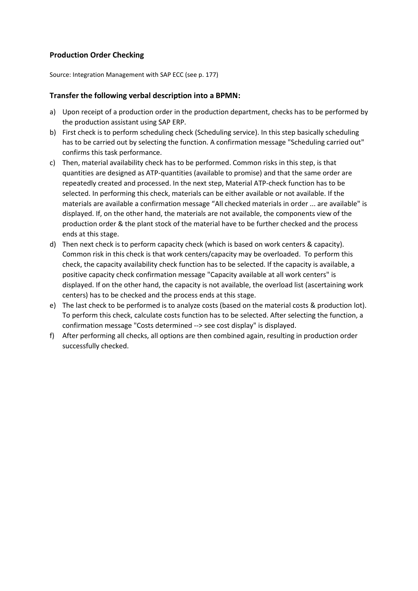## **Production Order Checking**

Source: Integration Management with SAP ECC (see p. 177)

## **Transfer the following verbal description into a BPMN:**

- a) Upon receipt of a production order in the production department, checks has to be performed by the production assistant using SAP ERP.
- b) First check is to perform scheduling check (Scheduling service). In this step basically scheduling has to be carried out by selecting the function. A confirmation message "Scheduling carried out" confirms this task performance.
- c) Then, material availability check has to be performed. Common risks in this step, is that quantities are designed as ATP-quantities (available to promise) and that the same order are repeatedly created and processed. In the next step, Material ATP-check function has to be selected. In performing this check, materials can be either available or not available. If the materials are available a confirmation message "All checked materials in order ... are available" is displayed. If, on the other hand, the materials are not available, the components view of the production order & the plant stock of the material have to be further checked and the process ends at this stage.
- d) Then next check is to perform capacity check (which is based on work centers & capacity). Common risk in this check is that work centers/capacity may be overloaded. To perform this check, the capacity availability check function has to be selected. If the capacity is available, a positive capacity check confirmation message "Capacity available at all work centers" is displayed. If on the other hand, the capacity is not available, the overload list (ascertaining work centers) has to be checked and the process ends at this stage.
- e) The last check to be performed is to analyze costs (based on the material costs & production lot). To perform this check, calculate costs function has to be selected. After selecting the function, a confirmation message "Costs determined --> see cost display" is displayed.
- f) After performing all checks, all options are then combined again, resulting in production order successfully checked.